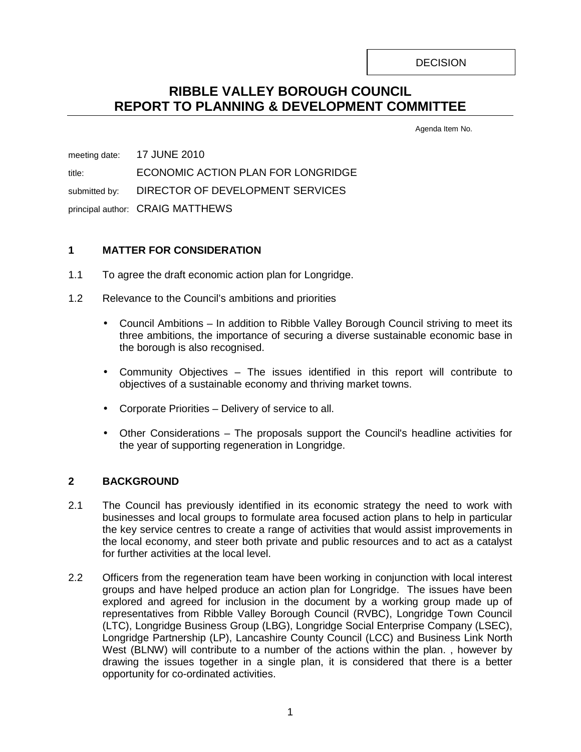**DECISION** 

# **RIBBLE VALLEY BOROUGH COUNCIL REPORT TO PLANNING & DEVELOPMENT COMMITTEE**

Agenda Item No.

meeting date: 17 JUNE 2010 title: ECONOMIC ACTION PLAN FOR LONGRIDGE submitted by: DIRECTOR OF DEVELOPMENT SERVICES principal author: CRAIG MATTHEWS

# **1 MATTER FOR CONSIDERATION**

- 1.1 To agree the draft economic action plan for Longridge.
- 1.2 Relevance to the Council's ambitions and priorities
	- Council Ambitions In addition to Ribble Valley Borough Council striving to meet its three ambitions, the importance of securing a diverse sustainable economic base in the borough is also recognised.
	- Community Objectives The issues identified in this report will contribute to objectives of a sustainable economy and thriving market towns.
	- Corporate Priorities Delivery of service to all.
	- Other Considerations The proposals support the Council's headline activities for the year of supporting regeneration in Longridge.

# **2 BACKGROUND**

- 2.1 The Council has previously identified in its economic strategy the need to work with businesses and local groups to formulate area focused action plans to help in particular the key service centres to create a range of activities that would assist improvements in the local economy, and steer both private and public resources and to act as a catalyst for further activities at the local level.
- 2.2 Officers from the regeneration team have been working in conjunction with local interest groups and have helped produce an action plan for Longridge. The issues have been explored and agreed for inclusion in the document by a working group made up of representatives from Ribble Valley Borough Council (RVBC), Longridge Town Council (LTC), Longridge Business Group (LBG), Longridge Social Enterprise Company (LSEC), Longridge Partnership (LP), Lancashire County Council (LCC) and Business Link North West (BLNW) will contribute to a number of the actions within the plan. , however by drawing the issues together in a single plan, it is considered that there is a better opportunity for co-ordinated activities.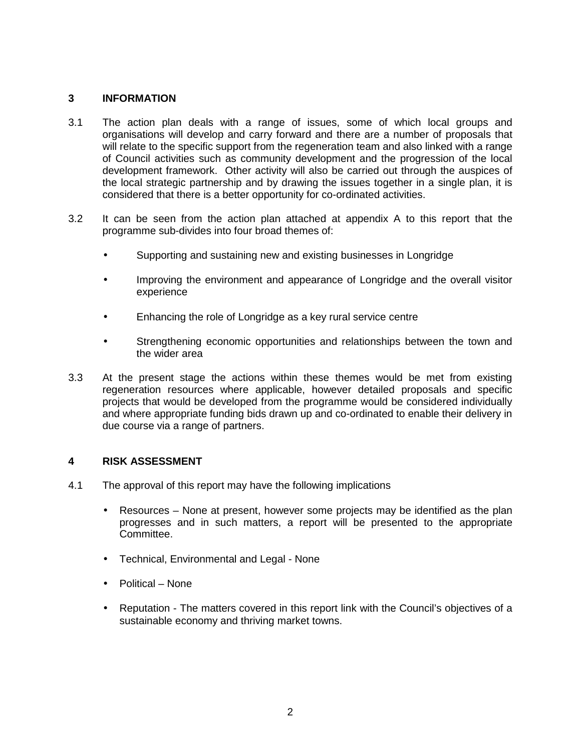#### **3 INFORMATION**

- 3.1 The action plan deals with a range of issues, some of which local groups and organisations will develop and carry forward and there are a number of proposals that will relate to the specific support from the regeneration team and also linked with a range of Council activities such as community development and the progression of the local development framework. Other activity will also be carried out through the auspices of the local strategic partnership and by drawing the issues together in a single plan, it is considered that there is a better opportunity for co-ordinated activities.
- 3.2 It can be seen from the action plan attached at appendix A to this report that the programme sub-divides into four broad themes of:
	- Supporting and sustaining new and existing businesses in Longridge
	- Improving the environment and appearance of Longridge and the overall visitor experience
	- Enhancing the role of Longridge as a key rural service centre
	- Strengthening economic opportunities and relationships between the town and the wider area
- 3.3 At the present stage the actions within these themes would be met from existing regeneration resources where applicable, however detailed proposals and specific projects that would be developed from the programme would be considered individually and where appropriate funding bids drawn up and co-ordinated to enable their delivery in due course via a range of partners.

#### **4 RISK ASSESSMENT**

- 4.1 The approval of this report may have the following implications
	- Resources None at present, however some projects may be identified as the plan progresses and in such matters, a report will be presented to the appropriate Committee.
	- Technical, Environmental and Legal None
	- Political None
	- Reputation The matters covered in this report link with the Council's objectives of a sustainable economy and thriving market towns.